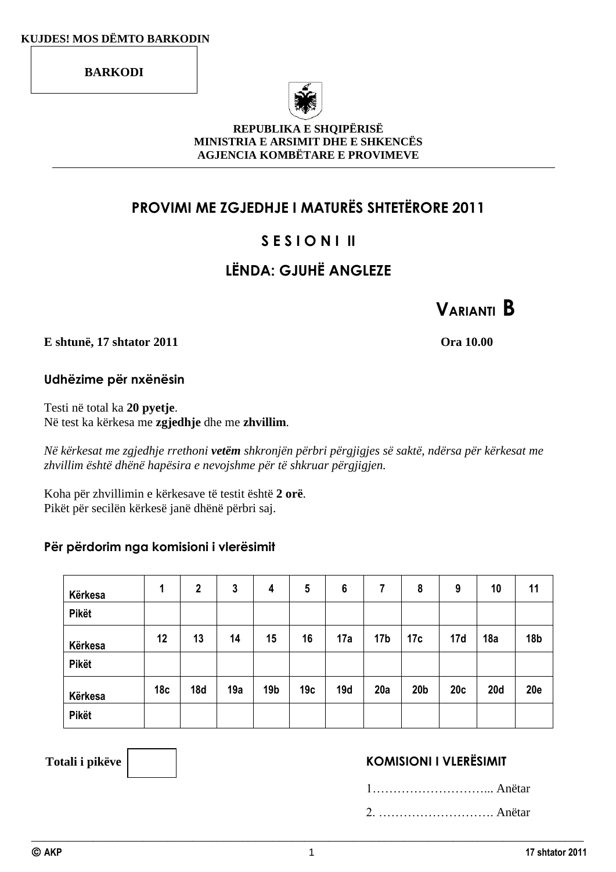**BARKODI**



**REPUBLIKA E SHQIPËRISË MINISTRIA E ARSIMIT DHE E SHKENCËS AGJENCIA KOMBËTARE E PROVIMEVE**

## **PROVIMI ME ZGJEDHJE I MATURËS SHTETËRORE 2011**

## **S E S I O N I II**

## **LËNDA: GJUHË ANGLEZE**

**VARIANTI B**

**E shtunë, 17 shtator 2011 Ora 10.00**

### **Udhëzime për nxënësin**

Testi në total ka **20 pyetje**. Në test ka kërkesa me **zgjedhje** dhe me **zhvillim**.

*Në kërkesat me zgjedhje rrethoni vetëm shkronjën përbri përgjigjes së saktë, ndërsa për kërkesat me zhvillim është dhënë hapësira e nevojshme për të shkruar përgjigjen.*

Koha për zhvillimin e kërkesave të testit është **2 orë**. Pikët për secilën kërkesë janë dhënë përbri saj.

### **Për përdorim nga komisioni i vlerësimit**

| Kërkesa      | 1               | $\mathbf{2}$ | 3   | $\boldsymbol{4}$ | 5               | 6          | 7               | 8               | 9   | 10  | 11              |
|--------------|-----------------|--------------|-----|------------------|-----------------|------------|-----------------|-----------------|-----|-----|-----------------|
| <b>Pikët</b> |                 |              |     |                  |                 |            |                 |                 |     |     |                 |
| Kërkesa      | 12              | 13           | 14  | 15               | 16              | 17a        | 17 <sub>b</sub> | 17c             | 17d | 18a | 18 <sub>b</sub> |
| <b>Pikët</b> |                 |              |     |                  |                 |            |                 |                 |     |     |                 |
| Kërkesa      | 18 <sub>c</sub> | <b>18d</b>   | 19a | 19 <sub>b</sub>  | 19 <sub>c</sub> | <b>19d</b> | 20a             | 20 <sub>b</sub> | 20c | 20d | <b>20e</b>      |
| <b>Pikët</b> |                 |              |     |                  |                 |            |                 |                 |     |     |                 |

### Totali i pikëve **Ashtrali i pikëve KOMISIONI I VLERËSIMIT**

1………………………... Anëtar 2. ………………………. Anëtar

\_\_\_\_\_\_\_\_\_\_\_\_\_\_\_\_\_\_\_\_\_\_\_\_\_\_\_\_\_\_\_\_\_\_\_\_\_\_\_\_\_\_\_\_\_\_\_\_\_\_\_\_\_\_\_\_\_\_\_\_\_\_\_\_\_\_\_\_\_\_\_\_\_\_\_\_\_\_\_\_\_\_\_\_\_\_\_\_\_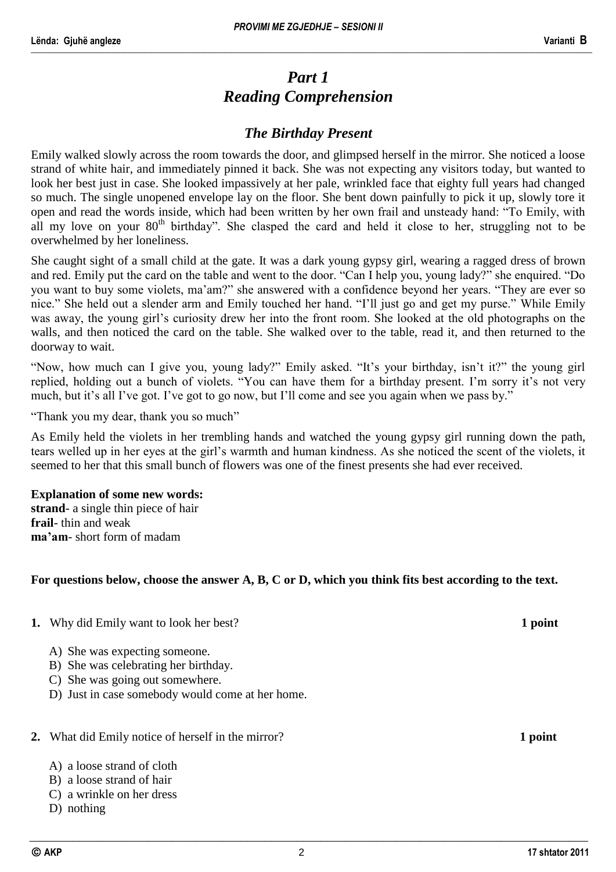## *Part 1 Reading Comprehension*

### *The Birthday Present*

Emily walked slowly across the room towards the door, and glimpsed herself in the mirror. She noticed a loose strand of white hair, and immediately pinned it back. She was not expecting any visitors today, but wanted to look her best just in case. She looked impassively at her pale, wrinkled face that eighty full years had changed so much. The single unopened envelope lay on the floor. She bent down painfully to pick it up, slowly tore it open and read the words inside, which had been written by her own frail and unsteady hand: "To Emily, with all my love on your 80<sup>th</sup> birthday". She clasped the card and held it close to her, struggling not to be overwhelmed by her loneliness.

She caught sight of a small child at the gate. It was a dark young gypsy girl, wearing a ragged dress of brown and red. Emily put the card on the table and went to the door. "Can I help you, young lady?" she enquired. "Do you want to buy some violets, ma'am?" she answered with a confidence beyond her years. "They are ever so nice." She held out a slender arm and Emily touched her hand. "I'll just go and get my purse." While Emily was away, the young girl's curiosity drew her into the front room. She looked at the old photographs on the walls, and then noticed the card on the table. She walked over to the table, read it, and then returned to the doorway to wait.

"Now, how much can I give you, young lady?" Emily asked. "It's your birthday, isn't it?" the young girl replied, holding out a bunch of violets. "You can have them for a birthday present. I'm sorry it's not very much, but it's all I've got. I've got to go now, but I'll come and see you again when we pass by."

"Thank you my dear, thank you so much"

As Emily held the violets in her trembling hands and watched the young gypsy girl running down the path, tears welled up in her eyes at the girl's warmth and human kindness. As she noticed the scent of the violets, it seemed to her that this small bunch of flowers was one of the finest presents she had ever received.

#### **Explanation of some new words:**

**strand**- a single thin piece of hair **frail**- thin and weak **ma'am**- short form of madam

#### **For questions below, choose the answer A, B, C or D, which you think fits best according to the text.**

- **1.** Why did Emily want to look her best? **1 point**
	- A) She was expecting someone.
	- B) She was celebrating her birthday.
	- C) She was going out somewhere.
	- D) Just in case somebody would come at her home.
- **2.** What did Emily notice of herself in the mirror? **1 point**
	- A) a loose strand of cloth
	- B) a loose strand of hair
	- C) a wrinkle on her dress
	- D) nothing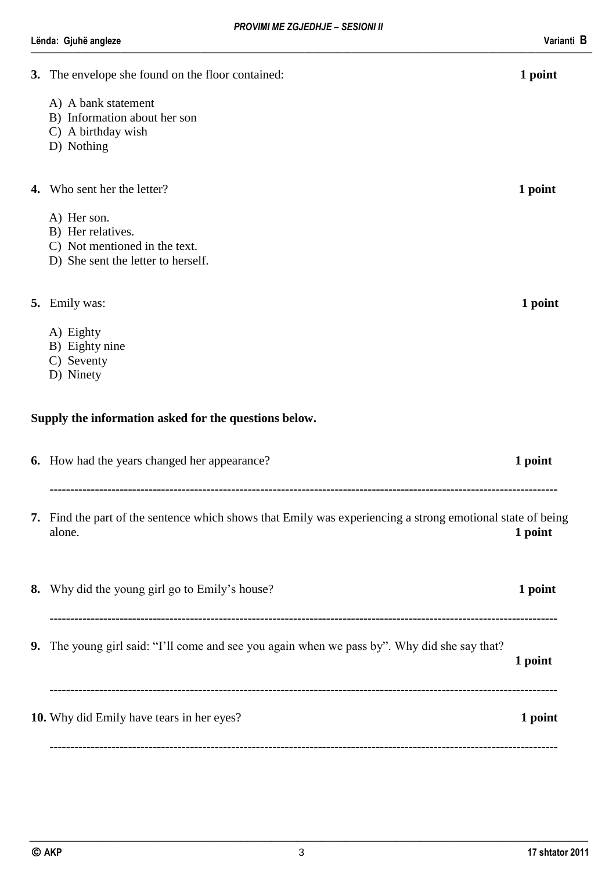|    | 3. The envelope she found on the floor contained:                                                                    | 1 point |
|----|----------------------------------------------------------------------------------------------------------------------|---------|
|    | A) A bank statement<br>B) Information about her son<br>C) A birthday wish                                            |         |
|    | D) Nothing                                                                                                           |         |
| 4. | Who sent her the letter?                                                                                             | 1 point |
|    | A) Her son.                                                                                                          |         |
|    | B) Her relatives.                                                                                                    |         |
|    | C) Not mentioned in the text.                                                                                        |         |
|    | D) She sent the letter to herself.                                                                                   |         |
| 5. | Emily was:                                                                                                           | 1 point |
|    | A) Eighty                                                                                                            |         |
|    | B) Eighty nine                                                                                                       |         |
|    | C) Seventy<br>D) Ninety                                                                                              |         |
|    |                                                                                                                      |         |
|    | Supply the information asked for the questions below.                                                                |         |
|    | 6. How had the years changed her appearance?                                                                         | 1 point |
|    | 7. Find the part of the sentence which shows that Emily was experiencing a strong emotional state of being<br>alone. | 1 point |
|    | 8. Why did the young girl go to Emily's house?                                                                       | 1 point |
|    | 9. The young girl said: "I'll come and see you again when we pass by". Why did she say that?                         | 1 point |
|    |                                                                                                                      |         |

\_\_\_\_\_\_\_\_\_\_\_\_\_\_\_\_\_\_\_\_\_\_\_\_\_\_\_\_\_\_\_\_\_\_\_\_\_\_\_\_\_\_\_\_\_\_\_\_\_\_\_\_\_\_\_\_\_\_\_\_\_\_\_\_\_\_\_\_\_\_\_\_\_\_\_\_\_\_\_\_\_\_\_\_\_\_\_\_\_\_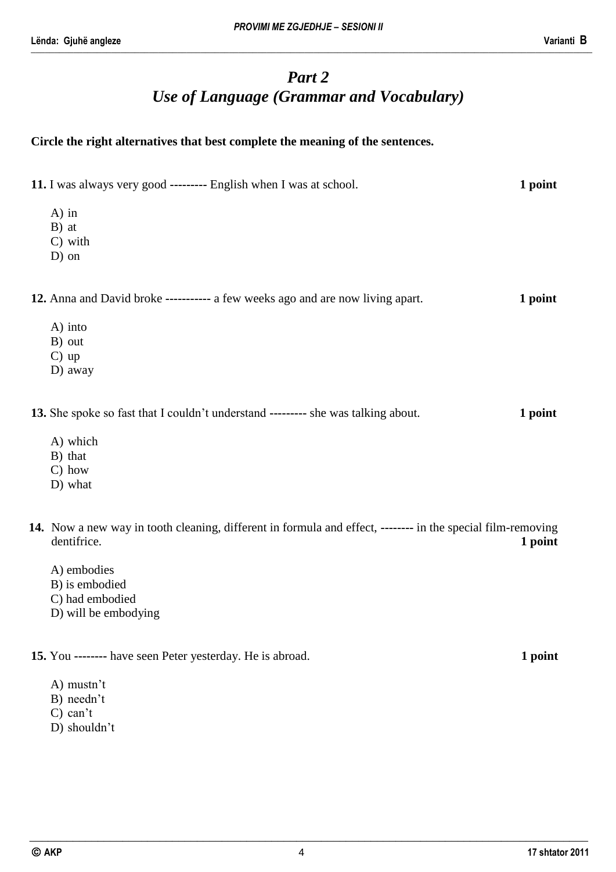## Part 2 **Use of Language (Grammar and Vocabulary)**

#### Circle the right alternatives that best complete the meaning of the sentences.

| 11. I was always very good --------- English when I was at school.                                                         | 1 point |
|----------------------------------------------------------------------------------------------------------------------------|---------|
| $A)$ in<br>$B)$ at<br>C) with<br>$D)$ on                                                                                   |         |
| 12. Anna and David broke ----------- a few weeks ago and are now living apart.                                             | 1 point |
| A) into<br>B) out<br>$C)$ up<br>D) away                                                                                    |         |
| 13. She spoke so fast that I couldn't understand --------- she was talking about.                                          | 1 point |
| A) which<br>B) that<br>$C)$ how<br>D) what                                                                                 |         |
| 14. Now a new way in tooth cleaning, different in formula and effect, -------- in the special film-removing<br>dentifrice. | 1 point |
| A) embodies<br>B) is embodied<br>C) had embodied<br>D) will be embodying                                                   |         |
| 15. You -------- have seen Peter yesterday. He is abroad.                                                                  | 1 point |
| A) mustn't<br>B) needn't<br>$C)$ can't                                                                                     |         |

D) shouldn't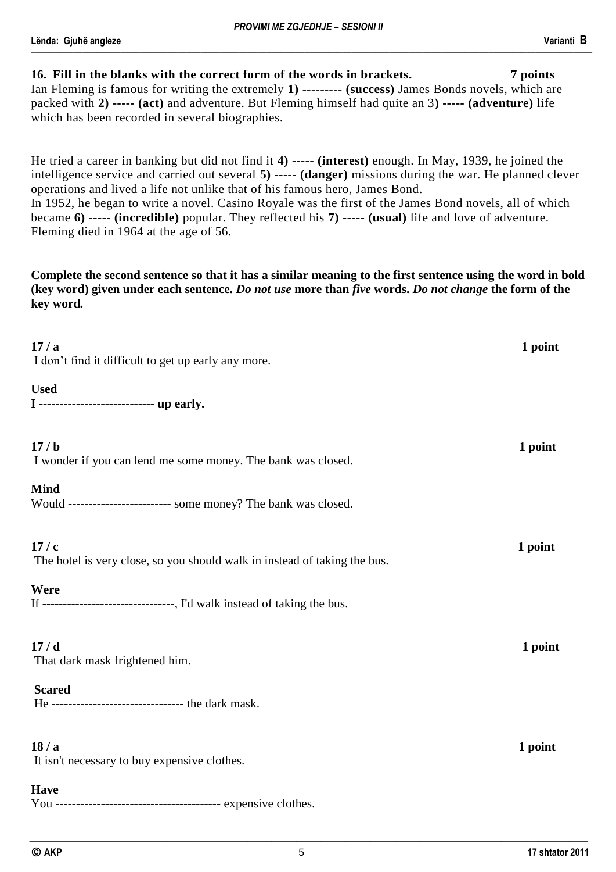# **16. Fill in the blanks with the correct form of the words in brackets. 7 points**

Ian Fleming is famous for writing the extremely **1) --------- (success)** James Bonds novels, which are packed with **2) ----- (act)** and adventure. But Fleming himself had quite an 3**) ----- (adventure)** life which has been recorded in several biographies.

He tried a career in banking but did not find it **4) ----- (interest)** enough. In May, 1939, he joined the intelligence service and carried out several **5) ----- (danger)** missions during the war. He planned clever operations and lived a life not unlike that of his famous hero, James Bond. In 1952, he began to write a novel. Casino Royale was the first of the James Bond novels, all of which became **6) ----- (incredible)** popular. They reflected his **7) ----- (usual)** life and love of adventure. Fleming died in 1964 at the age of 56.

### **Complete the second sentence so that it has a similar meaning to the first sentence using the word in bold (key word) given under each sentence.** *Do not use* **more than** *five* **words.** *Do not change* **the form of the key word***.*

| 17/a<br>I don't find it difficult to get up early any more.                       | 1 point |
|-----------------------------------------------------------------------------------|---------|
| <b>Used</b><br>I ---------------------------- up early.                           |         |
| 17/b<br>I wonder if you can lend me some money. The bank was closed.              | 1 point |
| <b>Mind</b><br>Would ------------------------ some money? The bank was closed.    |         |
| 17/c<br>The hotel is very close, so you should walk in instead of taking the bus. | 1 point |
| Were<br>If -------------------------------, I'd walk instead of taking the bus.   |         |
| 17/d<br>That dark mask frightened him.                                            | 1 point |
| <b>Scared</b><br>He ---------------------------------- the dark mask.             |         |
| 18/a<br>It isn't necessary to buy expensive clothes.                              | 1 point |
| <b>Have</b>                                                                       |         |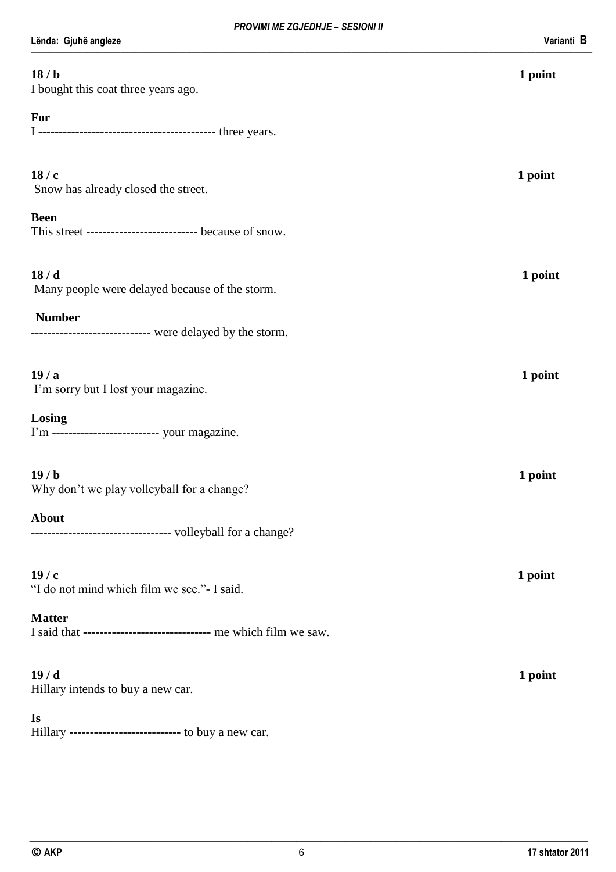| 18/b<br>I bought this coat three years ago.                                       | 1 point |
|-----------------------------------------------------------------------------------|---------|
| For                                                                               |         |
| 18/c<br>Snow has already closed the street.                                       | 1 point |
| <b>Been</b><br>This street --------------------------- because of snow.           |         |
| 18/d<br>Many people were delayed because of the storm.                            | 1 point |
| <b>Number</b><br>-------------------------- were delayed by the storm.            |         |
| 19/a<br>I'm sorry but I lost your magazine.                                       | 1 point |
| Losing<br>I'm -------------------------- your magazine.                           |         |
| 19/b<br>Why don't we play volleyball for a change?                                | 1 point |
| <b>About</b><br>------------------------------- volleyball for a change?          |         |
| 19/c<br>"I do not mind which film we see." - I said.                              | 1 point |
| <b>Matter</b><br>I said that ------------------------------ me which film we saw. |         |
| 19/d<br>Hillary intends to buy a new car.                                         | 1 point |
| Is                                                                                |         |

Hillary **---------------------------** to buy a new car.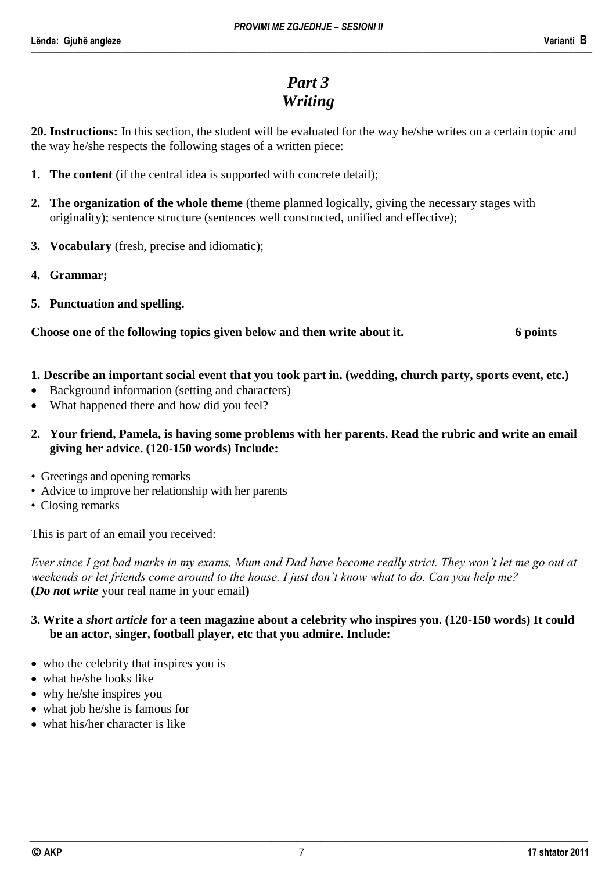## *Part 3 Writing*

**20. Instructions:** In this section, the student will be evaluated for the way he/she writes on a certain topic and the way he/she respects the following stages of a written piece:

- **1. The content** (if the central idea is supported with concrete detail);
- **2. The organization of the whole theme** (theme planned logically, giving the necessary stages with originality); sentence structure (sentences well constructed, unified and effective);
- **3. Vocabulary** (fresh, precise and idiomatic);
- **4. Grammar;**
- **5. Punctuation and spelling.**

**Choose one of the following topics given below and then write about it. 6 points**

#### **1. Describe an important social event that you took part in. (wedding, church party, sports event, etc.)**

- Background information (setting and characters)
- What happened there and how did you feel?
- **2. Your friend, Pamela, is having some problems with her parents. Read the rubric and write an email giving her advice. (120-150 words) Include:**
- Greetings and opening remarks
- Advice to improve her relationship with her parents
- Closing remarks

This is part of an email you received:

*Ever since I got bad marks in my exams, Mum and Dad have become really strict. They won't let me go out at weekends or let friends come around to the house. I just don't know what to do. Can you help me?* **(***Do not write* your real name in your email**)**

#### **3. Write a** *short article* **for a teen magazine about a celebrity who inspires you. (120-150 words) It could be an actor, singer, football player, etc that you admire. Include:**

- who the celebrity that inspires you is
- what he/she looks like
- why he/she inspires you
- what job he/she is famous for
- what his/her character is like

\_\_\_\_\_\_\_\_\_\_\_\_\_\_\_\_\_\_\_\_\_\_\_\_\_\_\_\_\_\_\_\_\_\_\_\_\_\_\_\_\_\_\_\_\_\_\_\_\_\_\_\_\_\_\_\_\_\_\_\_\_\_\_\_\_\_\_\_\_\_\_\_\_\_\_\_\_\_\_\_\_\_\_\_\_\_\_\_\_\_